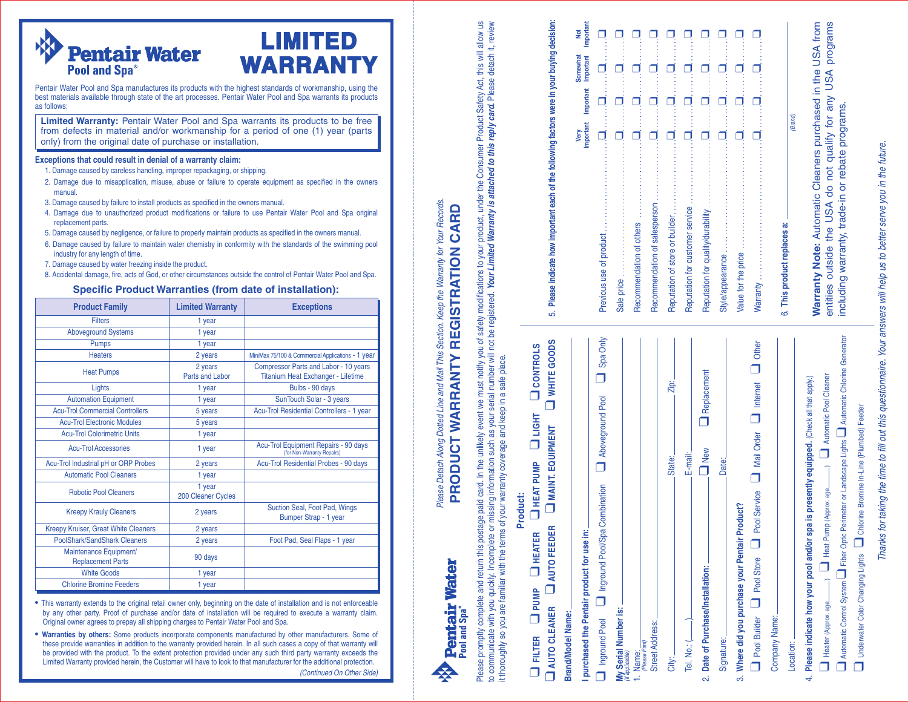

Pentair Water Pool and Spa manufactures its products with the highest standards of workmanship, using the best materials available through state of the art processes. Pentair Water Pool and Spa warrants its products as follows:

**L I M I T E D**

**WA R R A N T Y**

**Limited Warranty:** Pentair Water Pool and Spa warrants its products to be free from defects in material and/or workmanship for a period of one (1) year (parts only) from the original date of purchase or installation.

### Exceptions that could result in denial of a warranty claim:

- 1. Damage caused by careless handling, improper repackaging, or shipping.
- 2. Damage due to misapplication, misuse, abuse or failure to operate equipment as specified in the owners manual
- 3. Damage caused by failure to install products as specified in the owners manual.
- 4. Damage due to unauthorized product modifications or failure to use Pentair Water Pool and Spa original replacement parts.
- 5. Damage caused by negligence, or failure to properly maintain products as specified in the owners manual.
- 6. Damage caused by failure to maintain water chemistry in conformity with the standards of the swimming pool industry for any length of time.
- 7. Damage caused by water freezing inside the product.

8. Accidental damage, fire, acts of God, or other circumstances outside the control of Pentair Water Pool and Spa.

### Specific Product Warranties (from date of installation):

| <b>Product Family</b>                              | <b>Limited Warranty</b>           | <b>Exceptions</b>                                                                  |
|----------------------------------------------------|-----------------------------------|------------------------------------------------------------------------------------|
| <b>Filters</b>                                     | 1 year                            |                                                                                    |
| <b>Aboveground Systems</b>                         | 1 year                            |                                                                                    |
| <b>Pumps</b>                                       | 1 year                            |                                                                                    |
| <b>Heaters</b>                                     | 2 years                           | MiniMax 75/100 & Commercial Applications - 1 year                                  |
| <b>Heat Pumps</b>                                  | 2 years<br><b>Parts and Labor</b> | Compressor Parts and Labor - 10 years<br><b>Titanium Heat Exchanger - Lifetime</b> |
| Lights                                             | 1 year                            | Bulbs - 90 days                                                                    |
| <b>Automation Equipment</b>                        | 1 year                            | SunTouch Solar - 3 years                                                           |
| <b>Acu-Trol Commercial Controllers</b>             | 5 years                           | Acu-Trol Residential Controllers - 1 year                                          |
| <b>Acu-Trol Electronic Modules</b>                 | 5 years                           |                                                                                    |
| <b>Acu-Trol Colorimetric Units</b>                 | 1 year                            |                                                                                    |
| <b>Acu-Trol Accessories</b>                        | 1 year                            | Acu-Trol Equipment Repairs - 90 days<br>(for Non-Warranty Repairs)                 |
| Acu-Trol Industrial pH or ORP Probes               | 2 years                           | Acu-Trol Residential Probes - 90 days                                              |
| <b>Automatic Pool Cleaners</b>                     | 1 year                            |                                                                                    |
| <b>Robotic Pool Cleaners</b>                       | 1 year<br>200 Cleaner Cycles      |                                                                                    |
| <b>Kreepy Krauly Cleaners</b>                      | 2 years                           | Suction Seal, Foot Pad, Wings<br>Bumper Strap - 1 year                             |
| Kreepy Kruiser, Great White Cleaners               | 2 years                           |                                                                                    |
| PoolShark/SandShark Cleaners                       | 2 years                           | Foot Pad, Seal Flaps - 1 year                                                      |
| Maintenance Equipment/<br><b>Replacement Parts</b> | 90 days                           |                                                                                    |
| <b>White Goods</b>                                 | 1 year                            |                                                                                    |
| <b>Chlorine Bromine Feeders</b>                    | 1 year                            |                                                                                    |

• This warranty extends to the original retail owner only, beginning on the date of installation and is not enforceable The name of the contract of the contract of installation will be required to execute a warranty claim. Original owner agrees to prepay all shipping charges to Pentair Water Pool and Spa.

. Warranties by others: Some products incorporate components manufactured by other manufacturers. Some of these provide warranties in addition to the warranty provided herein. In all such cases a copy of that warranty will be provided with the product. To the extent protection provided under any such third party warranty exceeds the Limited Warranty provided herein, the Customer will have to look to that manufacturer for the additional protection.

(Continued On Other Side)

Please Detach Along Dotted Line and Mail This Section. Keep the Warranty for Your Records. Please Detach Along Dotted Line and Mail This Section. Keep the Warranty for Your Records. CARD **PRODUCT WARRANTY REGISTRATION CARD REGISTRATION PRODUCT WARRANTY** 

**Pentair Water** 

Pool and Spa<sup>®</sup>

Consumer Product Safety Act, this will allow us Your Limited Warranty is attached to this reply card. Please detach it, review Please promptlete and return this postage paid card. In the unlikely event we must notify you of safety modifications to your product, under the Consumer Product Safety Act, this will allow us to communicate with you quickly. Incomplete or missing information such as your serial number will not be registered. Your Limited Warranty is attached to this reply card. Please detach it, review under the Please promptly complete and return this postage paid card. In the unlikely event we must notify you of safety modifications to your product, to communicate with you quickly. Incomplete or missing information such as your serial number will not be registered. It thoroughly so you are familiar with the terms of your warranty coverage and keep in a safe place. it thoroughly so you are familiar with the terms of your warranty coverage and keep in a safe place.

| <b>Product:</b>                                                                                                                        |                                                                                              |         |                                         |   |
|----------------------------------------------------------------------------------------------------------------------------------------|----------------------------------------------------------------------------------------------|---------|-----------------------------------------|---|
| U WHITE GOODS<br>$\Box$ FILTER $\Box$ PUMP $\Box$ HEAT PUMP $\Box$ LIGHT $\Box$ CONTROLS<br>AUTO CLEANER AUTO FEEDER AMAINT. EQUIPMENT | 5. Please indicate how important each of the following factors were in your buying decision: |         |                                         |   |
| purchased the Pentair product for use in:<br>Brand/Model Name:                                                                         |                                                                                              | Very    | <b>Somewhat</b>                         | ĕ |
| Inground Pool Inground Pool/Spa Combination I Aboveground Pool I Spa Only                                                              | Previous use of product                                                                      |         | Important Important Important Important |   |
| My Serial Number is:<br>(If applicable)                                                                                                | Sale price.                                                                                  |         |                                         |   |
| 1. Name:<br>(Please Print)                                                                                                             | Recommendation of others                                                                     |         |                                         |   |
| Street Address:                                                                                                                        | Recommendation of salesperson                                                                |         |                                         |   |
| Zip:<br>State:<br>City:                                                                                                                | Reputation of store or builder.                                                              |         |                                         |   |
| E-mail:                                                                                                                                | Reputation for customer service                                                              |         |                                         |   |
| <b>I</b> Replacement<br>$\Box$ New<br>2. Date of Purchase/Installation:                                                                | Reputation for quality/durability.                                                           |         |                                         |   |
| Date:<br>Signature:                                                                                                                    | Style/appearance.                                                                            |         |                                         |   |
| Product?<br>3. Where did you purchase your Pentair                                                                                     | Value for the price                                                                          |         |                                         |   |
| Pool Service <b>Q</b> Mail Order <b>Q</b> Internet <b>Q</b> Other<br>Depol Builder Depol Store                                         |                                                                                              |         |                                         |   |
| Company Name:                                                                                                                          |                                                                                              |         |                                         |   |
| Location:                                                                                                                              | 6. This product replaces a:                                                                  | (Brand) |                                         |   |

# Please indicate how important each of the following factors were in your buying decision:

|                                   | Important<br>Very | Important | <b>Somewhat</b><br>Important | Important<br>ĕ |
|-----------------------------------|-------------------|-----------|------------------------------|----------------|
| Previous use of product           |                   |           |                              |                |
| Sale price                        |                   |           |                              |                |
| Recommendation of others          |                   |           |                              |                |
| Recommendation of salesperson     |                   |           |                              |                |
| Reputation of store or builder    |                   |           |                              |                |
| Reputation for customer service   |                   |           |                              |                |
| Reputation for quality/durability |                   |           |                              |                |
| Style/appearance                  |                   |           |                              |                |
| Value for the price               |                   |           |                              |                |
| Warranty                          |                   |           |                              |                |
| This product replaces a:          |                   |           |                              |                |

# 6. **This product replaces a:** có

(Brand)

4. **Please indicate how your pool and/or spa is presently equipped.** (Check all that apply.)

Please indicate how your pool and/or spa is

 $\vec{+}$ 

presently equipped. (Check all that apply.)

Heater (Approx. age ) ❑ Heat Pump (Approx. age ) ❑ Automatic Pool Cleaner

 $\Box$ 

Heat Pump (Approx. age

Automatic Control System❑ Fiber Optic Perimeter or Landscape Lights❑ Automatic Chlorine Generator

Fiber Optic Perimeter or Landscape Lights

Automatic Chlorine Generator

Feeder

Bromine In-Line (Plumbed)

Automatic Pool Cleaner

 $\overline{\mathsf{d}}$ 

Underwater Color Changing Lights ❑ Chlorine Bromine In-Line (Plumbed) Feeder

Changing Lights

 $\Box$  Chlorine

 $\Box$ 

 $\Box$ 

Automatic Control System Heater (Approx. age.

 $\Box$ 

**Underwater Color** 

Warranty Note: Automatic Cleaners purchased in the USA from qualify for any USA programs entities outside the USA do not qualify for any USA programs **Warranty Note:** Automatic Cleaners purchased in the USA from entities outside the USA do not qualify for an<br>including warranty, trade-in or rebate programs. including warranty, trade-in or rebate programs. entities

Thanks for taking the time to fill out this questionnaire. Your answers will help us to better serve you in the future. Thanks for taking the time to fill out this questionnaire. Your answers will help us to better serve you in the future.